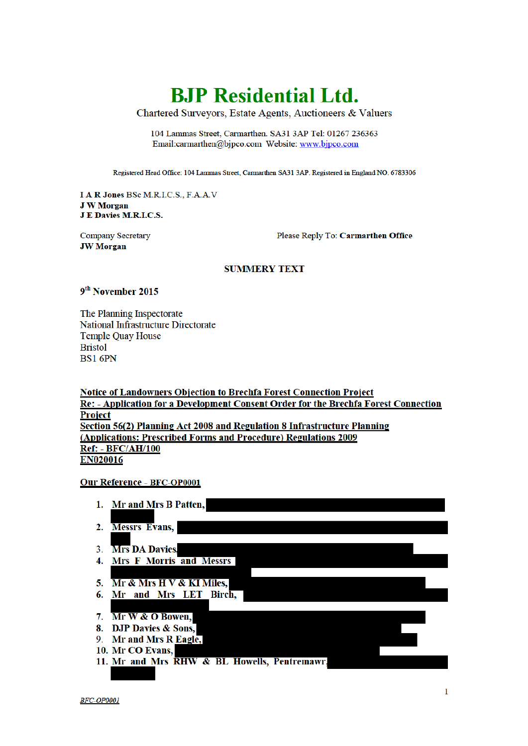# **BJP** Residential Ltd.

Chartered Surveyors, Estate Agents, Auctioneers & Valuers

104 Lammas Street, Carmarthen. SA31 3AP Tel: 01267 236363 Email:carmarthen@bjpco.com Website: www.bjpco.com

Registered Head Office: 104 Lammas Street, Carmarthen SA31 3AP. Registered in England NO. 6783306

**I A R Jones BSc M.R.I.C.S., F.A.A.V J W Morgan J E Davies M.R.I.C.S.** 

**Company Secretary JW Morgan** 

Please Reply To: Carmarthen Office

#### **SUMMERY TEXT**

### 9<sup>th</sup> November 2015

The Planning Inspectorate National Infrastructure Directorate **Temple Quay House Bristol BS1 6PN** 

**Notice of Landowners Objection to Brechfa Forest Connection Project** Re: - Application for a Development Consent Order for the Brechfa Forest Connection **Project** Section 56(2) Planning Act 2008 and Regulation 8 Infrastructure Planning (Applications: Prescribed Forms and Procedure) Regulations 2009 **Ref: - BFC/AH/100** EN020016

**Our Reference - BFC-OP0001** 

1. Mr and Mrs B Patten, 2. Messrs Evans, 3. Mrs DA Davies. 4. Mrs F Morris and Messrs 5. Mr & Mrs H V & KI Miles, 6. Mr and Mrs LET Birch, 7. Mr W & O Bowen, 8. DJP Davies & Sons, 9. Mr and Mrs R Eagle, 10. Mr CO Evans, 11. Mr and Mrs RHW & BL Howells, Pentremawr,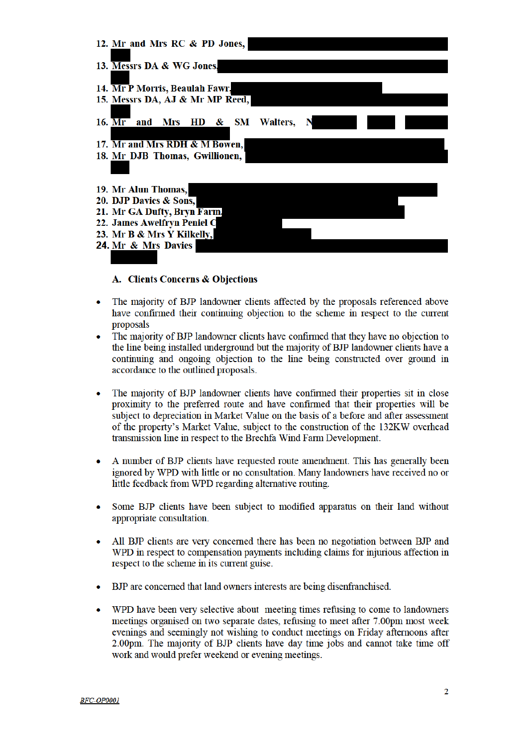

### A. Clients Concerns & Obiections

- The majority of BJP landowner clients affected by the proposals referenced above have confirmed their continuing objection to the scheme in respect to the current proposals
- The majority of BJP landowner clients have confirmed that they have no objection to the line being installed underground but the majority of BJP landowner clients have a continuing and ongoing objection to the line being constructed over ground in accordance to the outlined proposals.
- The majority of BJP landowner clients have confirmed their properties sit in close proximity to the preferred route and have confirmed that their properties will be subject to depreciation in Market Value on the basis of a before and after assessment of the property's Market Value, subject to the construction of the 132KW overhead transmission line in respect to the Brechfa Wind Farm Development.
- A number of BJP clients have requested route amendment. This has generally been ignored by WPD with little or no consultation. Many landowners have received no or little feedback from WPD regarding alternative routing.
- Some BJP clients have been subject to modified apparatus on their land without  $\bullet$ appropriate consultation.
- All BJP clients are very concerned there has been no negotiation between BJP and WPD in respect to compensation payments including claims for injurious affection in respect to the scheme in its current guise.
- BJP are concerned that land owners interests are being disenfranchised.
- WPD have been very selective about meeting times refusing to come to landowners meetings organised on two separate dates, refusing to meet after 7.00pm most week evenings and seemingly not wishing to conduct meetings on Friday afternoons after 2.00pm. The majority of BJP clients have day time jobs and cannot take time off work and would prefer weekend or evening meetings.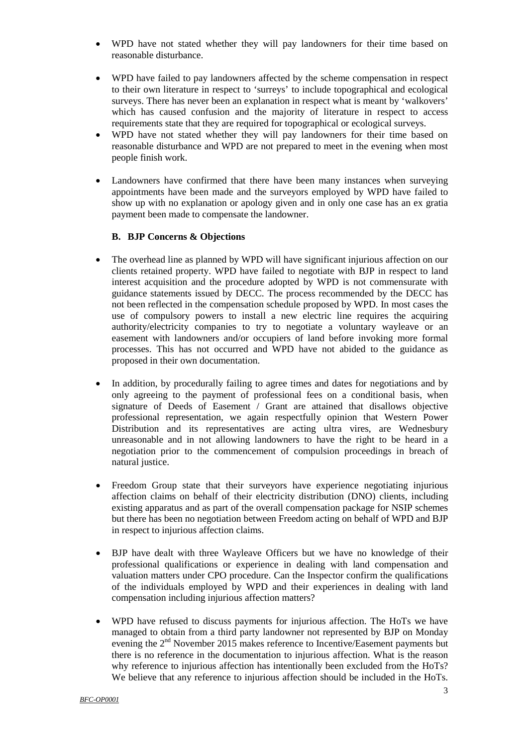- WPD have not stated whether they will pay landowners for their time based on reasonable disturbance.
- WPD have failed to pay landowners affected by the scheme compensation in respect to their own literature in respect to 'surreys' to include topographical and ecological surveys. There has never been an explanation in respect what is meant by 'walkovers' which has caused confusion and the majority of literature in respect to access requirements state that they are required for topographical or ecological surveys.
- WPD have not stated whether they will pay landowners for their time based on reasonable disturbance and WPD are not prepared to meet in the evening when most people finish work.
- Landowners have confirmed that there have been many instances when surveying appointments have been made and the surveyors employed by WPD have failed to show up with no explanation or apology given and in only one case has an ex gratia payment been made to compensate the landowner.

### **B. BJP Concerns & Objections**

- The overhead line as planned by WPD will have significant injurious affection on our clients retained property. WPD have failed to negotiate with BJP in respect to land interest acquisition and the procedure adopted by WPD is not commensurate with guidance statements issued by DECC. The process recommended by the DECC has not been reflected in the compensation schedule proposed by WPD. In most cases the use of compulsory powers to install a new electric line requires the acquiring authority/electricity companies to try to negotiate a voluntary wayleave or an easement with landowners and/or occupiers of land before invoking more formal processes. This has not occurred and WPD have not abided to the guidance as proposed in their own documentation.
- In addition, by procedurally failing to agree times and dates for negotiations and by only agreeing to the payment of professional fees on a conditional basis, when signature of Deeds of Easement / Grant are attained that disallows objective professional representation, we again respectfully opinion that Western Power Distribution and its representatives are acting ultra vires, are Wednesbury unreasonable and in not allowing landowners to have the right to be heard in a negotiation prior to the commencement of compulsion proceedings in breach of natural justice.
- Freedom Group state that their surveyors have experience negotiating injurious affection claims on behalf of their electricity distribution (DNO) clients, including existing apparatus and as part of the overall compensation package for NSIP schemes but there has been no negotiation between Freedom acting on behalf of WPD and BJP in respect to injurious affection claims.
- BJP have dealt with three Wayleave Officers but we have no knowledge of their professional qualifications or experience in dealing with land compensation and valuation matters under CPO procedure. Can the Inspector confirm the qualifications of the individuals employed by WPD and their experiences in dealing with land compensation including injurious affection matters?
- WPD have refused to discuss payments for injurious affection. The HoTs we have managed to obtain from a third party landowner not represented by BJP on Monday evening the 2<sup>nd</sup> November 2015 makes reference to Incentive/Easement payments but there is no reference in the documentation to injurious affection. What is the reason why reference to injurious affection has intentionally been excluded from the HoTs? We believe that any reference to injurious affection should be included in the HoTs.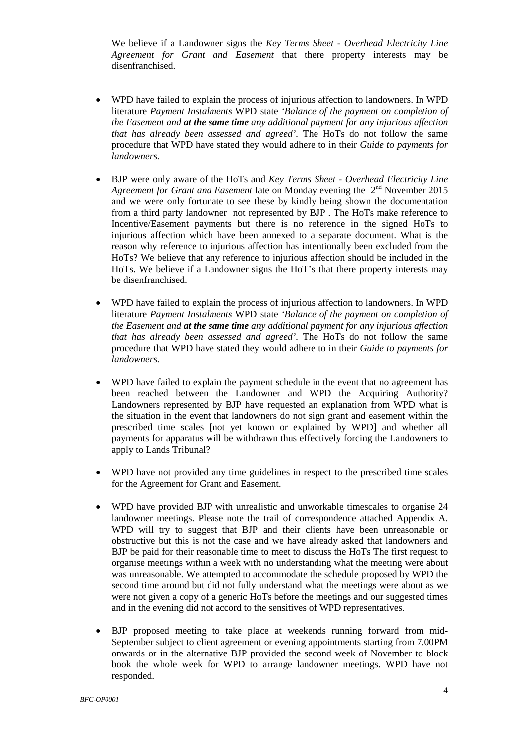We believe if a Landowner signs the *Key Terms Sheet - Overhead Electricity Line Agreement for Grant and Easement* that there property interests may be disenfranchised.

- WPD have failed to explain the process of injurious affection to landowners. In WPD literature *Payment Instalments* WPD state *'Balance of the payment on completion of the Easement and at the same time any additional payment for any injurious affection that has already been assessed and agreed'.* The HoTs do not follow the same procedure that WPD have stated they would adhere to in their *Guide to payments for landowners.*
- BJP were only aware of the HoTs and *Key Terms Sheet - Overhead Electricity Line Agreement for Grant and Easement* late on Monday evening the  $2<sup>nd</sup>$  November 2015 and we were only fortunate to see these by kindly being shown the documentation from a third party landowner not represented by BJP . The HoTs make reference to Incentive/Easement payments but there is no reference in the signed HoTs to injurious affection which have been annexed to a separate document. What is the reason why reference to injurious affection has intentionally been excluded from the HoTs? We believe that any reference to injurious affection should be included in the HoTs. We believe if a Landowner signs the HoT's that there property interests may be disenfranchised.
- WPD have failed to explain the process of injurious affection to landowners. In WPD literature *Payment Instalments* WPD state *'Balance of the payment on completion of the Easement and at the same time any additional payment for any injurious affection that has already been assessed and agreed'.* The HoTs do not follow the same procedure that WPD have stated they would adhere to in their *Guide to payments for landowners.*
- WPD have failed to explain the payment schedule in the event that no agreement has been reached between the Landowner and WPD the Acquiring Authority? Landowners represented by BJP have requested an explanation from WPD what is the situation in the event that landowners do not sign grant and easement within the prescribed time scales [not yet known or explained by WPD] and whether all payments for apparatus will be withdrawn thus effectively forcing the Landowners to apply to Lands Tribunal?
- WPD have not provided any time guidelines in respect to the prescribed time scales for the Agreement for Grant and Easement.
- WPD have provided BJP with unrealistic and unworkable timescales to organise 24 landowner meetings. Please note the trail of correspondence attached Appendix A. WPD will try to suggest that BJP and their clients have been unreasonable or obstructive but this is not the case and we have already asked that landowners and BJP be paid for their reasonable time to meet to discuss the HoTs The first request to organise meetings within a week with no understanding what the meeting were about was unreasonable. We attempted to accommodate the schedule proposed by WPD the second time around but did not fully understand what the meetings were about as we were not given a copy of a generic HoTs before the meetings and our suggested times and in the evening did not accord to the sensitives of WPD representatives.
- BJP proposed meeting to take place at weekends running forward from mid-September subject to client agreement or evening appointments starting from 7.00PM onwards or in the alternative BJP provided the second week of November to block book the whole week for WPD to arrange landowner meetings. WPD have not responded.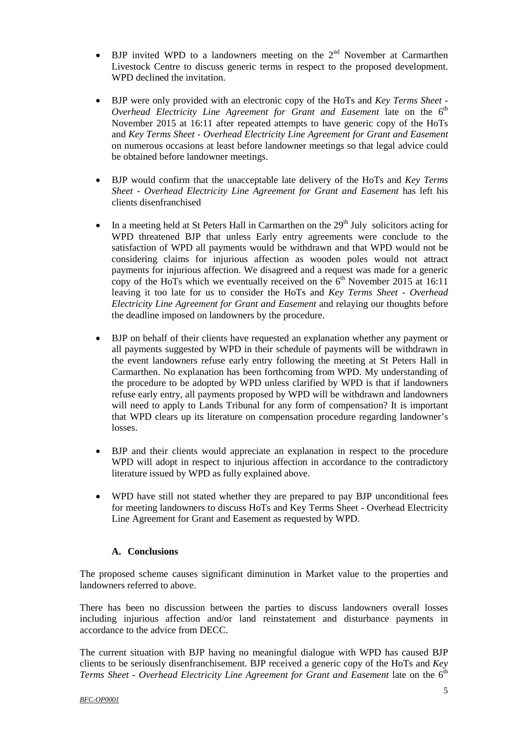- BJP invited WPD to a landowners meeting on the  $2<sup>nd</sup>$  November at Carmarthen Livestock Centre to discuss generic terms in respect to the proposed development. WPD declined the invitation.
- BJP were only provided with an electronic copy of the HoTs and *Key Terms Sheet - Overhead Electricity Line Agreement for Grant and Easement* late on the 6<sup>th</sup> November 2015 at 16:11 after repeated attempts to have generic copy of the HoTs and *Key Terms Sheet - Overhead Electricity Line Agreement for Grant and Easement* on numerous occasions at least before landowner meetings so that legal advice could be obtained before landowner meetings.
- BJP would confirm that the unacceptable late delivery of the HoTs and *Key Terms Sheet - Overhead Electricity Line Agreement for Grant and Easement* has left his clients disenfranchised
- In a meeting held at St Peters Hall in Carmarthen on the  $29<sup>th</sup>$  July solicitors acting for WPD threatened BJP that unless Early entry agreements were conclude to the satisfaction of WPD all payments would be withdrawn and that WPD would not be considering claims for injurious affection as wooden poles would not attract payments for injurious affection. We disagreed and a request was made for a generic copy of the HoTs which we eventually received on the  $6<sup>th</sup>$  November 2015 at 16:11 leaving it too late for us to consider the HoTs and *Key Terms Sheet - Overhead Electricity Line Agreement for Grant and Easement* and relaying our thoughts before the deadline imposed on landowners by the procedure.
- BJP on behalf of their clients have requested an explanation whether any payment or all payments suggested by WPD in their schedule of payments will be withdrawn in the event landowners refuse early entry following the meeting at St Peters Hall in Carmarthen. No explanation has been forthcoming from WPD. My understanding of the procedure to be adopted by WPD unless clarified by WPD is that if landowners refuse early entry, all payments proposed by WPD will be withdrawn and landowners will need to apply to Lands Tribunal for any form of compensation? It is important that WPD clears up its literature on compensation procedure regarding landowner's losses.
- BJP and their clients would appreciate an explanation in respect to the procedure WPD will adopt in respect to injurious affection in accordance to the contradictory literature issued by WPD as fully explained above.
- WPD have still not stated whether they are prepared to pay BJP unconditional fees for meeting landowners to discuss HoTs and Key Terms Sheet - Overhead Electricity Line Agreement for Grant and Easement as requested by WPD.

## **A. Conclusions**

The proposed scheme causes significant diminution in Market value to the properties and landowners referred to above.

There has been no discussion between the parties to discuss landowners overall losses including injurious affection and/or land reinstatement and disturbance payments in accordance to the advice from DECC.

The current situation with BJP having no meaningful dialogue with WPD has caused BJP clients to be seriously disenfranchisement. BJP received a generic copy of the HoTs and *Key Terms Sheet - Overhead Electricity Line Agreement for Grant and Easement* late on the 6<sup>th</sup>